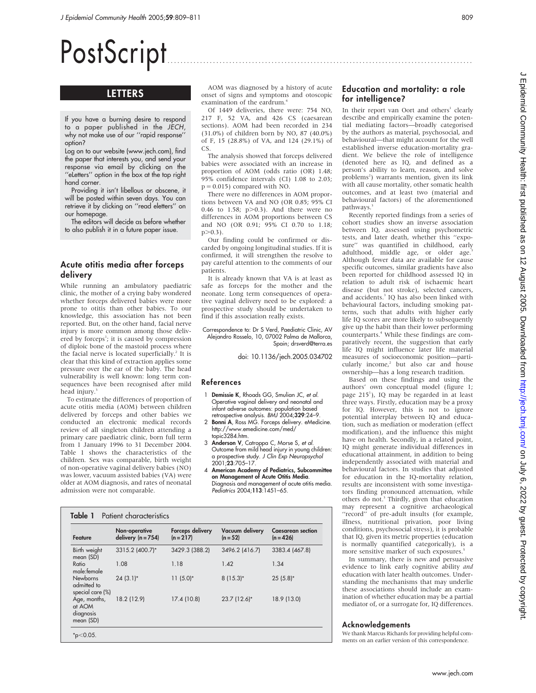# PostScript

# LETTERS

If you have a burning desire to respond to a paper published in the JECH, why not make use of our ''rapid response'' option?

Log on to our website (www.jech.com), find the paper that interests you, and send your response via email by clicking on the ''eLetters'' option in the box at the top right hand corner.

Providing it isn't libellous or obscene, it will be posted within seven days. You can retrieve it by clicking on ''read eletters'' on our homepage.

The editors will decide as before whether to also publish it in a future paper issue.

## Acute otitis media after forceps delivery

While running an ambulatory paediatric clinic, the mother of a crying baby wondered whether forceps delivered babies were more prone to otitis than other babies. To our knowledge, this association has not been reported. But, on the other hand, facial nerve injury is more common among those delivered by forceps<sup>1</sup>; it is caused by compression of diploic bone of the mastoid process where the facial nerve is located superficially.<sup>2</sup> It is clear that this kind of extraction applies some pressure over the ear of the baby. The head vulnerability is well known: long term consequences have been recognised after mild head injury.<sup>3</sup>

To estimate the differences of proportion of acute otitis media (AOM) between children delivered by forceps and other babies we conducted an electronic medical records review of all singleton children attending a primary care paediatric clinic, born full term from 1 January 1996 to 31 December 2004. Table 1 shows the characteristics of the children. Sex was comparable, birth weight of non-operative vaginal delivery babies (NO) was lower, vacuum assisted babies (VA) were older at AOM diagnosis, and rates of neonatal admission were not comparable.

Table 1 Patient characteristics

AOM was diagnosed by a history of acute onset of signs and symptoms and otoscopic examination of the eardrum.<sup>4</sup>

Of 1449 deliveries, there were: 754 NO, 217 F, 52 VA, and 426 CS (caesarean sections). AOM had been recorded in 234 (31.0%) of children born by NO, 87 (40.0%) of F, 15 (28.8%) of VA, and 124 (29.1%) of CS.

The analysis showed that forceps delivered babies were associated with an increase in proportion of AOM (odds ratio (OR) 1.48; 95% confidence intervals (CI) 1.08 to 2.03;  $p = 0.015$ ) compared with NO.

There were no differences in AOM proportions between VA and NO (OR 0.85; 95% CI 0.46 to 1.58;  $p>0.3$ ). And there were no differences in AOM proportions between CS and NO (OR 0.91; 95% CI 0.70 to 1.18;  $p > 0.3$ ).

Our finding could be confirmed or discarded by ongoing longitudinal studies. If it is confirmed, it will strengthen the resolve to pay careful attention to the comments of our patients.

It is already known that VA is at least as safe as forceps for the mother and the neonate. Long term consequences of operative vaginal delivery need to be explored: a prospective study should be undertaken to find if this association really exists.

#### Correspondence to: Dr S Verd, Paediatric Clinic, AV Alejandro Rosselo, 10, 07002 Palma de Mallorca, Spain; drsverd@terra.es

doi: 10.1136/jech.2005.034702

#### References

- 1 Demissie K, Rhoads GG, Smulian JC, et al. Operative vaginal delivery and neonatal and infant adverse outcomes: population based retrospective analysis. BMJ 2004;329:24–9.
- 2 Bonni A, Ross MG. Forceps delivery. eMedicine http://www.emedicine.com/med/ topic3284.htm.
- 3 Anderson V, Catroppa C, Morse S, et al. Outcome from mild head injury in young children: a prospective study. J Clin Exp Neuropsychol 2001;23:705–17.
- 4 American Academy of Pediatrics, Subcommittee on Management of Acute Otitis Media. Diagnosis and management of acute otitis media. Pediatrics 2004;113:1451–65.

| Feature                                            | Non-operative<br>delivery $(n = 754)$ | Forceps delivery<br>$(n = 217)$ | Vacuum delivery<br>$(n = 52)$ | <b>Caesarean section</b><br>$(n = 426)$ |
|----------------------------------------------------|---------------------------------------|---------------------------------|-------------------------------|-----------------------------------------|
| Birth weight<br>mean (SD)                          | 3315.2 (400.7)*                       | 3429.3 (388.2)                  | 3496.2 (416.7)                | 3383.4 (467.8)                          |
| Ratio<br>male: female                              | 1.08                                  | 1.18                            | 1.42                          | 1.34                                    |
| <b>Newborns</b><br>admitted to<br>special care (%) | $24(3.1)$ *                           | $11(5.0)^*$                     | $8(15.3)*$                    | $25(5.8)$ *                             |
| Age, months,<br>at AOM<br>diagnosis<br>mean (SD)   | 18.2 (12.9)                           | 17.4 (10.8)                     | 23.7 (12.6)*                  | 18.9 (13.0)                             |

# Education and mortality: a role for intelligence?

In their report van Oort and others<sup>1</sup> clearly describe and empirically examine the potential mediating factors—broadly categorised by the authors as material, psychosocial, and behavioural—that might account for the well established inverse education-mortality gradient. We believe the role of intelligence (denoted here as IQ, and defined as a person's ability to learn, reason, and solve problems<sup>2</sup>) warrants mention, given its link with all cause mortality, other somatic health outcomes, and at least two (material and behavioural factors) of the aforementioned pathways.<sup>3</sup>

Recently reported findings from a series of cohort studies show an inverse association between IQ, assessed using psychometric tests, and later death, whether this ''exposure'' was quantified in childhood, early adulthood, middle age, or older age.<sup>3</sup> Although fewer data are available for cause specific outcomes, similar gradients have also been reported for childhood assessed IQ in relation to adult risk of ischaemic heart disease (but not stroke), selected cancers, and accidents.<sup>3</sup> IQ has also been linked with behavioural factors, including smoking patterns, such that adults with higher early life IQ scores are more likely to subsequently give up the habit than their lower performing counterparts.<sup>4</sup> While these findings are comparatively recent, the suggestion that early life IQ might influence later life material measures of socioeconomic position—particularly income,<sup>2</sup> but also car and house ownership—has a long research tradition.

Based on these findings and using the authors' own conceptual model (figure 1; page 215<sup>1</sup>), IQ may be regarded in at least three ways. Firstly, education may be a proxy for IQ. However, this is not to ignore potential interplay between IQ and education, such as mediation or moderation (effect modification), and the influence this might have on health. Secondly, in a related point, IQ might generate individual differences in educational attainment, in addition to being independently associated with material and behavioural factors. In studies that adjusted for education in the IQ-mortality relation, results are inconsistent with some investigators finding pronounced attenuation, while others do not.<sup>3</sup> Thirdly, given that education may represent a cognitive archaeological "record" of pre-adult insults (for example, illness, nutritional privation, poor living conditions, psychosocial stress), it is probable that IQ, given its metric properties (education is normally quantified categorically), is a more sensitive marker of such exposures.<sup>5</sup>

In summary, there is new and persuasive evidence to link early cognitive ability and education with later health outcomes. Understanding the mechanisms that may underlie these associations should include an examination of whether education may be a partial mediator of, or a surrogate for, IQ differences.

#### Acknowledgements

We thank Marcus Richards for providing helpful comments on an earlier version of this correspondence.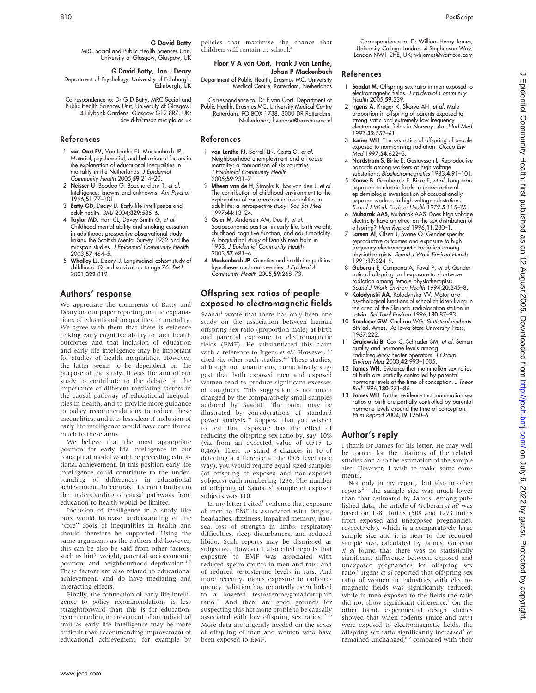Correspondence to: Dr G D Batty, MRC Social and Public Health Sciences Unit, University of Glasgow, 4 Lilybank Gardens, Glasgow G12 8RZ, UK; david-b@msoc.mrc.gla.ac.uk

Department of Psychology, University of Edinburgh, Edinburgh, UK

MRC Social and Public Health Sciences Unit, University of Glasgow, Glasgow, UK G David Batty, Ian J Deary

G David Batty

# References

- 1 van Oort FV, Van Lenthe FJ, Mackenbach JP. Material, psychosocial, and behavioural factors in the explanation of educational inequalities in mortality in the Netherlands. J Epidemiol Community Health  $2005;$ 59:214-20.
- 2 Neisser U, Boodoo G, Bouchard Jnr T, et al. Intelligence: knowns and unknowns. Am Psychol 1996;51:77–101.
- 3 Batty GD, Deary IJ. Early life intelligence and adult health. BMJ 2004;329:585–6.
- 4 Taylor MD, Hart CL, Davey Smith G, et al. Childhood mental ability and smoking cessation in adulthood: prospective observational study linking the Scottish Mental Survey 1932 and the midspan studies. J Epidemiol Community Health 2003;57:464–5.
- 5 Whalley LJ, Deary IJ. Longitudinal cohort study of childhood IQ and survival up to age 76. BMJ 2001;322:819.

# Authors' response

We appreciate the comments of Batty and Deary on our paper reporting on the explanations of educational inequalities in mortality. We agree with them that there is evidence linking early cognitive ability to later health outcomes and that inclusion of education and early life intelligence may be important for studies of health inequalities. However, the latter seems to be dependent on the purpose of the study. It was the aim of our study to contribute to the debate on the importance of different mediating factors in the causal pathway of educational inequalities in health, and to provide more guidance to policy recommendations to reduce these inequalities, and it is less clear if inclusion of early life intelligence would have contributed much to these aims.

We believe that the most appropriate position for early life intelligence in our conceptual model would be preceding educational achievement. In this position early life intelligence could contribute to the understanding of differences in educational achievement. In contrast, its contribution to the understanding of causal pathways from education to health would be limited.

Inclusion of intelligence in a study like ours would increase understanding of the "core" roots of inequalities in health and should therefore be supported. Using the same arguments as the authors did however, this can be also be said from other factors, such as birth weight, parental socioeconomic position, and neighbourhood deprivation.<sup>1</sup> These factors are also related to educational achievement, and do have mediating and interacting effects.

Finally, the connection of early life intelligence to policy recommendations is less straightforward than this is for education: recommending improvement of an individual trait as early life intelligence may be more difficult than recommending improvement of educational achievement, for example by policies that maximise the chance that children will remain at school.4

#### Floor V A van Oort, Frank J van Lenthe, Johan P Mackenbach

Department of Public Health, Erasmus MC, University Medical Centre, Rotterdam, Netherlands

Correspondence to: Dr F van Oort, Department of Public Health, Erasmus MC, University Medical Centre Rotterdam, PO BOX 1738, 3000 DR Rotterdam, Netherlands; f.vanoort@erasmusmc.nl

# References

- 1 van Lenthe FJ, Borrell LN, Costa G, et al. Neighbourhood unemployment and all cause mortality: a comparison of six countries. J Epidemiol Community Health 2005;59:231–7.
- 2 Mheen van de H, Stronks K, Bos van den J, et al. The contribution of childhood environment to the explanation of socio-economic inequalities in adult life: a retrospective study. Soc Sci Med 1997;44:13–24.
- 3 Osler M, Andersen AM, Due P, et al. Socioeconomic position in early life, birth weight, childhood cognitive function, and adult mortality. A longitudinal study of Danish men born in 1953. J Epidemiol Community Health 2003;57:681–6.
- 4 Mackenbach JP. Genetics and health inequalities: hypotheses and controversies. J Epidemiol  $Commuty$  Health 2005;59:268-73.

# Offspring sex ratios of people exposed to electromagnetic fields

Saadat<sup>1</sup> wrote that there has only been one study on the association between human offspring sex ratio (proportion male) at birth and parental exposure to electromagnetic fields (EMF). He substantiated this claim with a reference to Irgens et al.<sup>2</sup> However, I<sup>3</sup> cited six other such studies.<sup>4-9</sup> These studies, although not unanimous, cumulatively suggest that both exposed men and exposed women tend to produce significant excesses of daughters. This suggestion is not much changed by the comparatively small samples adduced by Saadat.<sup>1</sup> The point may be illustrated by considerations of standard power analysis.<sup>10</sup> Suppose that you wished to test that exposure has the effect of reducing the offspring sex ratio by, say, 10% (viz from an expected value of 0.515 to 0.465). Then, to stand 8 chances in 10 of detecting a difference at the 0.05 level (one way), you would require equal sized samples (of offspring of exposed and non-exposed subjects) each numbering 1236. The number of offspring of Saadat's<sup>1</sup> sample of exposed subjects was 110.

In my letter I cited<sup>3</sup> evidence that exposure of men to EMF is associated with fatigue, headaches, dizziness, impaired memory, nausea, loss of strength in limbs, respiratory difficulties, sleep disturbances, and reduced libido. Such reports may be dismissed as subjective. However I also cited reports that exposure to EMF was associated with reduced sperm counts in men and rats: and of reduced testosterone levels in rats. And more recently, men's exposure to radiofrequency radiation has reportedly been linked to a lowered testosterone/gonadotrophin ratio.<sup>11</sup> And there are good grounds for suspecting this hormone profile to be causally associated with low offspring sex ratios.<sup>12 13</sup> More data are urgently needed on the sexes of offspring of men and women who have been exposed to EMF.

Correspondence to: Dr William Henry James, University College London, 4 Stephenson Way, London NW1 2HE, UK; whjames@waitrose.com

## References

- 1 Saadat M. Offspring sex ratio in men exposed to electromagnetic fields. J Epidemiol Community Health 2005;**59**:339.
- 2 Irgens A, Kruger K, Skorve AH, et al. Male proportion in offspring of parents exposed to strong static and extremely low frequency electromagnetic fields in Norway. Am J Ind Med 1997;32:557–61.
- 3 James WH. The sex ratios of offspring of people exposed to non-ionising radiation. Occup Env Med 1997;54:622–3.
- 4 **Nordstrom S**, Birke E, Gustavsson L. Reproductive hazards among workers at high voltage substations. Bioelectromagnetics 1983;4:91–101.
- 5 Knave B, Gamberale F, Birke E, et al. Long term exposure to electric fields: a cross-sectional epidemiologic investigation of occupationally exposed workers in high voltage substations. Scand J Work Environ Health 1979;5:115-25.
- 6 Mubarak AAS, Mubarak AAS. Does high voltage electricity have an effect on the sex distribution of
- offspring? *Hum Reprod* 1996;11:230–1.<br>7 **Larsen AI**, Olsen J, Svane O. Gender specific reproductive outcomes and exposure to high frequency electromagnetic radiation among physiotherapists. Scand J Work Environ Health 1991;17:324–9.
- 8 Guberan E, Campana A, Faval P, et al. Gender ratio of offspring and exposure to shortwave radiation among female physiotherapists. Scand J Work Environ Health 1994;20:345–8.
- 9 Kolodynski AA, Kolodynska VV. Motor and psychological functions of school children living in the area of the Skrunda radiolocation station in Latvia. Sci Total Environ 1996;180:87-93.
- 10 **Snedecor GW**, Cochran WG. Statistical methods. 6th ed. Ames, IA: Iowa State University Press, 1967:222.
- 11 Grajewski B, Cox C, Schrader SM, et al. Semen quality and hormone levels among radiofrequency heater operators. J Occup Environ Med 2000;42:993–1005.
- 12 James WH. Evidence that mammalian sex ratios at birth are partially controlled by parental hormone levels at the time of conception. J Theor Biol 1996;180:271–86.
- 13 James WH. Further evidence that mammalian sex ratios at birth are partially controlled by parental hormone levels around the time of conception. Hum Reprod 2004;19:1250–6.

# Author's reply

I thank Dr James for his letter. He may well be correct for the citations of the related studies and also the estimation of the sample size. However, I wish to make some comments.

Not only in my report, $\lambda$  but also in other reports<sup>2-4</sup> the sample size was much lower than that estimated by James. Among published data, the article of Guberan et  $aI^5$  was based on 1781 births (508 and 1273 births from exposed and unexposed pregnancies, respectively), which is a comparatively large sample size and it is near to the required sample size, calculated by James. Guberan et al found that there was no statistically significant difference between exposed and unexposed pregnancies for offspring sex ratio.<sup>5</sup> Irgens et al reported that offspring sex ratio of women in industries with electromagnetic fields was significantly reduced; while in men exposed to the fields the ratio did not show significant difference.<sup>6</sup> On the other hand, experimental design studies showed that when rodents (mice and rats) were exposed to electromagnetic fields, the offspring sex ratio significantly increased<sup>7</sup> or remained unchanged,<sup>8</sup> <sup>9</sup> compared with their